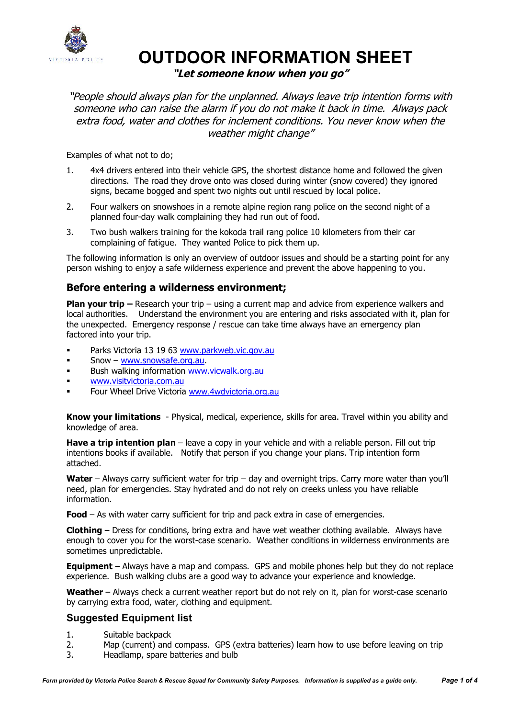

# **OUTDOOR INFORMATION SHEET**

## **"Let someone know when you go"**

"People should always plan for the unplanned. Always leave trip intention forms with someone who can raise the alarm if you do not make it back in time. Always pack extra food, water and clothes for inclement conditions. You never know when the weather might change"

Examples of what not to do;

- 1. 4x4 drivers entered into their vehicle GPS, the shortest distance home and followed the given directions. The road they drove onto was closed during winter (snow covered) they ignored signs, became bogged and spent two nights out until rescued by local police.
- 2. Four walkers on snowshoes in a remote alpine region rang police on the second night of a planned four-day walk complaining they had run out of food.
- 3. Two bush walkers training for the kokoda trail rang police 10 kilometers from their car complaining of fatigue. They wanted Police to pick them up.

The following information is only an overview of outdoor issues and should be a starting point for any person wishing to enjoy a safe wilderness experience and prevent the above happening to you.

## **Before entering a wilderness environment;**

**Plan your trip –** Research your trip – using a current map and advice from experience walkers and local authorities. Understand the environment you are entering and risks associated with it, plan for the unexpected. Emergency response / rescue can take time always have an emergency plan factored into your trip.

- Parks Victoria 13 19 63 www.parkweb.vic.gov.au
- Snow www.snowsafe.org.au.
- Bush walking information www.vicwalk.org.au
- www.visitvictoria.com.au
- Four Wheel Drive Victoria www.4wdvictoria.org.au

**Know your limitations** - Physical, medical, experience, skills for area. Travel within you ability and knowledge of area.

**Have a trip intention plan** – leave a copy in your vehicle and with a reliable person. Fill out trip intentions books if available. Notify that person if you change your plans. Trip intention form attached.

**Water** – Always carry sufficient water for trip – day and overnight trips. Carry more water than you'll need, plan for emergencies. Stay hydrated and do not rely on creeks unless you have reliable information.

**Food** – As with water carry sufficient for trip and pack extra in case of emergencies.

**Clothing** – Dress for conditions, bring extra and have wet weather clothing available. Always have enough to cover you for the worst-case scenario. Weather conditions in wilderness environments are sometimes unpredictable.

**Equipment** – Always have a map and compass. GPS and mobile phones help but they do not replace experience. Bush walking clubs are a good way to advance your experience and knowledge.

Weather – Always check a current weather report but do not rely on it, plan for worst-case scenario by carrying extra food, water, clothing and equipment.

## **Suggested Equipment list**

- 1. Suitable backpack
- 2. Map (current) and compass. GPS (extra batteries) learn how to use before leaving on trip
- 3. Headlamp, spare batteries and bulb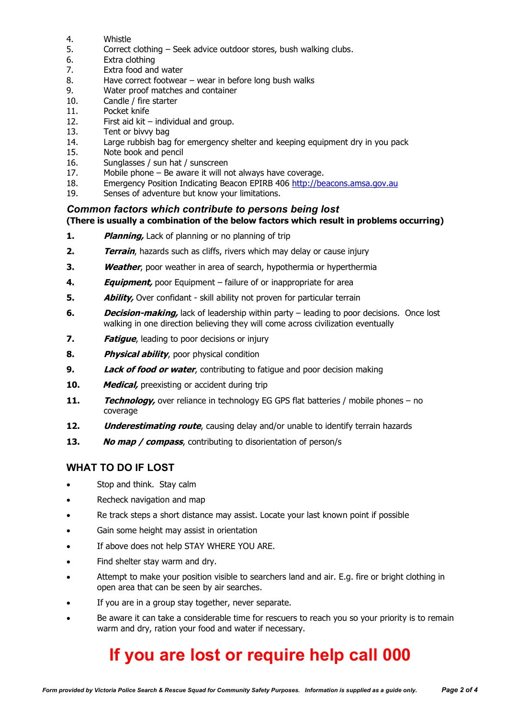- 4. Whistle
- 5. Correct clothing Seek advice outdoor stores, bush walking clubs.
- 6. Extra clothing
- 7. Extra food and water
- 8. Have correct footwear wear in before long bush walks
- 9. Water proof matches and container
- 10. Candle / fire starter
- 11. Pocket knife
- 12. First aid kit individual and group.
- 13. Tent or bivvy bag
- 14. Large rubbish bag for emergency shelter and keeping equipment dry in you pack
- 15. Note book and pencil
- 16. Sunglasses / sun hat / sunscreen
- 17. Mobile phone Be aware it will not always have coverage.
- 18. Emergency Position Indicating Beacon EPIRB 406 http://beacons.amsa.gov.au
- 19. Senses of adventure but know your limitations.

## *Common factors which contribute to persons being lost*

#### **(There is usually a combination of the below factors which result in problems occurring)**

- **1. Planning,** Lack of planning or no planning of trip
- **2. Terrain**, hazards such as cliffs, rivers which may delay or cause injury
- **3. Weather**, poor weather in area of search, hypothermia or hyperthermia
- **4. Equipment,** poor Equipment failure of or inappropriate for area
- **5. Ability,** Over confidant skill ability not proven for particular terrain
- **6. Decision-making,** lack of leadership within party leading to poor decisions. Once lost walking in one direction believing they will come across civilization eventually
- **7. Fatigue**, leading to poor decisions or injury
- **8. Physical ability**, poor physical condition
- **9. Lack of food or water**, contributing to fatigue and poor decision making
- **10. Medical,** preexisting or accident during trip
- **11. <b>Technology**, over reliance in technology EG GPS flat batteries / mobile phones no coverage
- **12. Underestimating route**, causing delay and/or unable to identify terrain hazards
- **13. No map / compass**, contributing to disorientation of person/s

## **WHAT TO DO IF LOST**

- Stop and think. Stay calm
- Recheck navigation and map
- Re track steps a short distance may assist. Locate your last known point if possible
- Gain some height may assist in orientation
- If above does not help STAY WHERE YOU ARE.
- Find shelter stay warm and dry.
- Attempt to make your position visible to searchers land and air. E.g. fire or bright clothing in open area that can be seen by air searches.
- If you are in a group stay together, never separate.
- Be aware it can take a considerable time for rescuers to reach you so your priority is to remain warm and dry, ration your food and water if necessary.

# **If you are lost or require help call 000**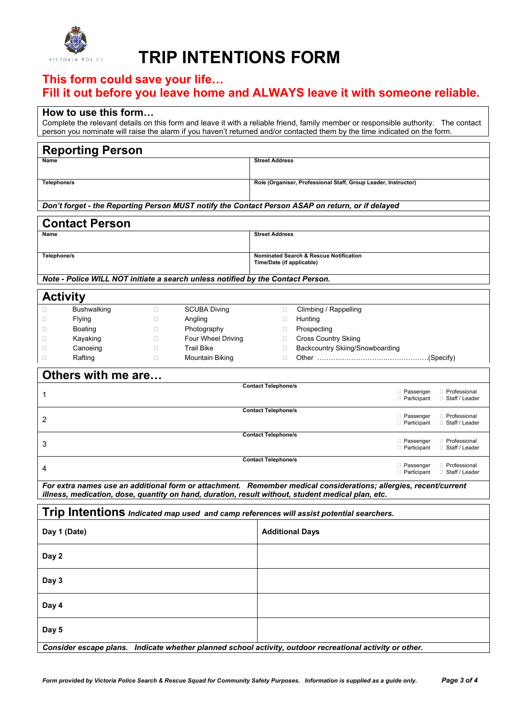

# **TRIP INTENTIONS FORM**

# **This form could save your life…**

# **Fill it out before you leave home and ALWAYS leave it with someone reliable.**

#### **How to use this form…**

Complete the relevant details on this form and leave it with a reliable friend, family member or responsible authority. The contact person you nominate will raise the alarm if you haven't returned and/or contacted them by the time indicated on the form.

| <b>Reporting Person</b>                                                                                          |                                                                                     |  |  |  |  |  |  |
|------------------------------------------------------------------------------------------------------------------|-------------------------------------------------------------------------------------|--|--|--|--|--|--|
| Name                                                                                                             | <b>Street Address</b>                                                               |  |  |  |  |  |  |
|                                                                                                                  |                                                                                     |  |  |  |  |  |  |
| Telephone/s                                                                                                      | Role (Organiser, Professional Staff, Group Leader, Instructor)                      |  |  |  |  |  |  |
|                                                                                                                  |                                                                                     |  |  |  |  |  |  |
| Don't forget - the Reporting Person MUST notify the Contact Person ASAP on return, or if delayed                 |                                                                                     |  |  |  |  |  |  |
| <b>Contact Person</b>                                                                                            |                                                                                     |  |  |  |  |  |  |
| Name                                                                                                             | <b>Street Address</b>                                                               |  |  |  |  |  |  |
|                                                                                                                  |                                                                                     |  |  |  |  |  |  |
| Telephone/s                                                                                                      | Nominated Search & Rescue Notification<br>Time/Date (if applicable)                 |  |  |  |  |  |  |
| Note - Police WILL NOT initiate a search unless notified by the Contact Person.                                  |                                                                                     |  |  |  |  |  |  |
|                                                                                                                  |                                                                                     |  |  |  |  |  |  |
| <b>Activity</b>                                                                                                  |                                                                                     |  |  |  |  |  |  |
| <b>SCUBA Diving</b><br><b>Bushwalking</b><br>$\Box$<br>Ω                                                         | Climbing / Rappelling<br>$\Box$                                                     |  |  |  |  |  |  |
| Flying<br>Angling<br>0<br>□                                                                                      | Hunting<br>□                                                                        |  |  |  |  |  |  |
| Photography<br><b>Boating</b><br>0<br>Ш                                                                          | Prospecting<br>□                                                                    |  |  |  |  |  |  |
| Four Wheel Driving<br>Kayaking<br>$\Box$<br>□                                                                    | <b>Cross Country Skiing</b><br>$\Box$                                               |  |  |  |  |  |  |
| <b>Trail Bike</b><br>Canoeing<br>□<br>□                                                                          | Backcountry Skiing/Snowboarding<br>$\Box$                                           |  |  |  |  |  |  |
| $\Box$<br>Rafting<br>$\Box$<br>Mountain Biking                                                                   | $\Box$                                                                              |  |  |  |  |  |  |
| Others with me are                                                                                               |                                                                                     |  |  |  |  |  |  |
|                                                                                                                  | <b>Contact Telephone/s</b><br><b>Passenger</b><br><b>Professional</b>               |  |  |  |  |  |  |
| 1                                                                                                                | $\Box$ Participant<br>□ Staff / Leader                                              |  |  |  |  |  |  |
|                                                                                                                  | <b>Contact Telephone/s</b>                                                          |  |  |  |  |  |  |
| 2                                                                                                                | <b>D</b> Passenger<br><b>Professional</b><br>$\Box$ Participant<br>□ Staff / Leader |  |  |  |  |  |  |
| <b>Contact Telephone/s</b>                                                                                       |                                                                                     |  |  |  |  |  |  |
| 3                                                                                                                | <b>Passenger</b><br><b>Professional</b><br>□ Staff / Leader<br>$\Box$ Participant   |  |  |  |  |  |  |
|                                                                                                                  |                                                                                     |  |  |  |  |  |  |
| <b>Contact Telephone/s</b><br><b>Passenger</b><br><b>Professional</b><br>4                                       |                                                                                     |  |  |  |  |  |  |
|                                                                                                                  | $\Box$ Participant<br>□ Staff / Leader                                              |  |  |  |  |  |  |
| For extra names use an additional form or attachment. Remember medical considerations; allergies, recent/current |                                                                                     |  |  |  |  |  |  |
| illness, medication, dose, quantity on hand, duration, result without, student medical plan, etc.                |                                                                                     |  |  |  |  |  |  |
| Trip Intentions Indicated map used and camp references will assist potential searchers.                          |                                                                                     |  |  |  |  |  |  |
|                                                                                                                  |                                                                                     |  |  |  |  |  |  |
| Day 1 (Date)                                                                                                     | <b>Additional Days</b>                                                              |  |  |  |  |  |  |
|                                                                                                                  |                                                                                     |  |  |  |  |  |  |
| Day 2                                                                                                            |                                                                                     |  |  |  |  |  |  |
|                                                                                                                  |                                                                                     |  |  |  |  |  |  |
| Day 3                                                                                                            |                                                                                     |  |  |  |  |  |  |
|                                                                                                                  |                                                                                     |  |  |  |  |  |  |
| Day 4                                                                                                            |                                                                                     |  |  |  |  |  |  |
|                                                                                                                  |                                                                                     |  |  |  |  |  |  |
| Day 5                                                                                                            |                                                                                     |  |  |  |  |  |  |
|                                                                                                                  |                                                                                     |  |  |  |  |  |  |
| Consider escape plans. Indicate whether planned school activity, outdoor recreational activity or other.         |                                                                                     |  |  |  |  |  |  |